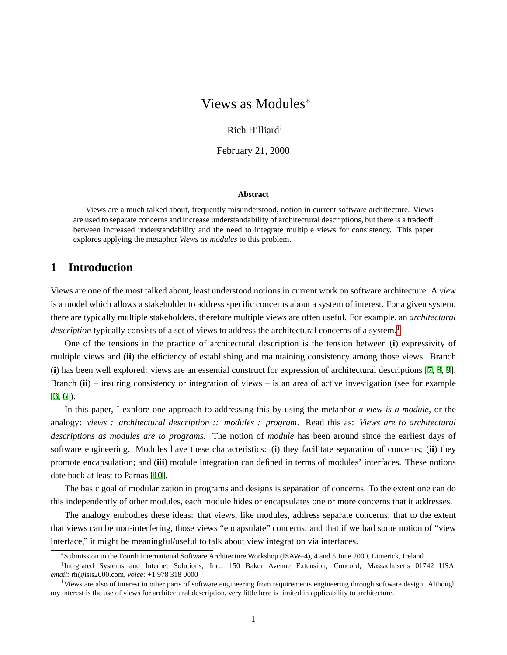# Views as Modules<sup>∗</sup>

#### Rich Hilliard†

February 21, 2000

#### **Abstract**

Views are a much talked about, frequently misunderstood, notion in current software architecture. Views are used to separate concerns and increase understandability of architectural descriptions, but there is a tradeoff between increased understandability and the need to integrate multiple views for consistency. This paper explores applying the metaphor *Views as modules* to this problem.

## **1 Introduction**

Views are one of the most talked about, least understood notions in current work on software architecture. A *view* is a model which allows a stakeholder to address specific concerns about a system of interest. For a given system, there are typically multiple stakeholders, therefore multiple views are often useful. For example, an *architectural description* typically consists of a set of views to address the architectural concerns of a system.<sup>[1](#page-0-0)</sup>

One of the tensions in the practice of architectural description is the tension between (**i**) expressivity of multiple views and (**ii**) the efficiency of establishing and maintaining consistency among those views. Branch (**i**) has been well explored: views are an essential construct for expression of architectural descriptions [[7](#page-4-0), [8](#page-4-1), [9](#page-4-2)]. Branch (**ii**) – insuring consistency or integration of views – is an area of active investigation (see for example [[3](#page-4-3), [6](#page-4-4)]).

In this paper, I explore one approach to addressing this by using the metaphor *a view is a module*, or the analogy: *views : architectural description :: modules : program*. Read this as: *Views are to architectural descriptions as modules are to programs.* The notion of *module* has been around since the earliest days of software engineering. Modules have these characteristics: (**i**) they facilitate separation of concerns; (**ii**) they promote encapsulation; and (**iii**) module integration can defined in terms of modules' interfaces. These notions date back at least to Parnas [\[10](#page-4-5)].

The basic goal of modularization in programs and designs is separation of concerns. To the extent one can do this independently of other modules, each module hides or encapsulates one or more concerns that it addresses.

The analogy embodies these ideas: that views, like modules, address separate concerns; that to the extent that views can be non-interfering, those views "encapsulate" concerns; and that if we had some notion of "view interface," it might be meaningful/useful to talk about view integration via interfaces.

<sup>∗</sup> Submission to the Fourth International Software Architecture Workshop (ISAW–4), 4 and 5 June 2000, Limerick, Ireland

<sup>†</sup> Integrated Systems and Internet Solutions, Inc., 150 Baker Avenue Extension, Concord, Massachusetts 01742 USA, *email:* rh@isis2000.com, *voice:* +1 978 318 0000

<span id="page-0-0"></span><sup>&</sup>lt;sup>1</sup>Views are also of interest in other parts of software engineering from requirements engineering through software design. Although my interest is the use of views for architectural description, very little here is limited in applicability to architecture.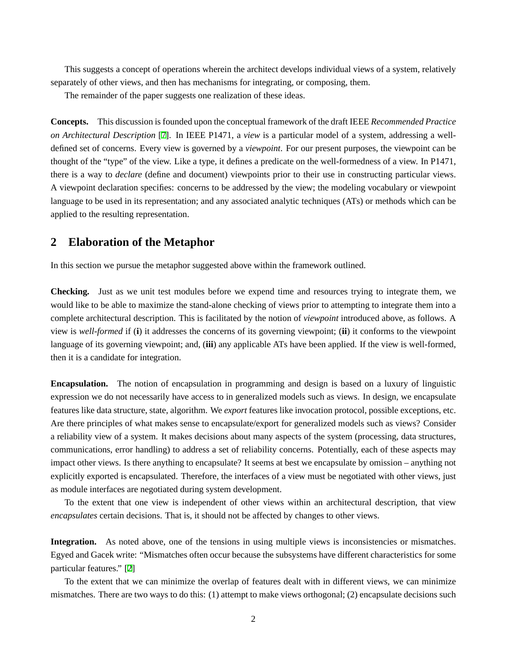This suggests a concept of operations wherein the architect develops individual views of a system, relatively separately of other views, and then has mechanisms for integrating, or composing, them.

The remainder of the paper suggests one realization of these ideas.

**Concepts.** This discussion is founded upon the conceptual framework of the draft IEEE *Recommended Practice on Architectural Description* [[7](#page-4-0)]. In IEEE P1471, a *view* is a particular model of a system, addressing a welldefined set of concerns. Every view is governed by a *viewpoint*. For our present purposes, the viewpoint can be thought of the "type" of the view. Like a type, it defines a predicate on the well-formedness of a view. In P1471, there is a way to *declare* (define and document) viewpoints prior to their use in constructing particular views. A viewpoint declaration specifies: concerns to be addressed by the view; the modeling vocabulary or viewpoint language to be used in its representation; and any associated analytic techniques (ATs) or methods which can be applied to the resulting representation.

### **2 Elaboration of the Metaphor**

In this section we pursue the metaphor suggested above within the framework outlined.

**Checking.** Just as we unit test modules before we expend time and resources trying to integrate them, we would like to be able to maximize the stand-alone checking of views prior to attempting to integrate them into a complete architectural description. This is facilitated by the notion of *viewpoint* introduced above, as follows. A view is *well-formed* if (**i**) it addresses the concerns of its governing viewpoint; (**ii**) it conforms to the viewpoint language of its governing viewpoint; and, (**iii**) any applicable ATs have been applied. If the view is well-formed, then it is a candidate for integration.

**Encapsulation.** The notion of encapsulation in programming and design is based on a luxury of linguistic expression we do not necessarily have access to in generalized models such as views. In design, we encapsulate features like data structure, state, algorithm. We *export* features like invocation protocol, possible exceptions, etc. Are there principles of what makes sense to encapsulate/export for generalized models such as views? Consider a reliability view of a system. It makes decisions about many aspects of the system (processing, data structures, communications, error handling) to address a set of reliability concerns. Potentially, each of these aspects may impact other views. Is there anything to encapsulate? It seems at best we encapsulate by omission – anything not explicitly exported is encapsulated. Therefore, the interfaces of a view must be negotiated with other views, just as module interfaces are negotiated during system development.

To the extent that one view is independent of other views within an architectural description, that view *encapsulates* certain decisions. That is, it should not be affected by changes to other views.

**Integration.** As noted above, one of the tensions in using multiple views is inconsistencies or mismatches. Egyed and Gacek write: "Mismatches often occur because the subsystems have different characteristics for some particular features." [\[2\]](#page-4-6)

To the extent that we can minimize the overlap of features dealt with in different views, we can minimize mismatches. There are two ways to do this: (1) attempt to make views orthogonal; (2) encapsulate decisions such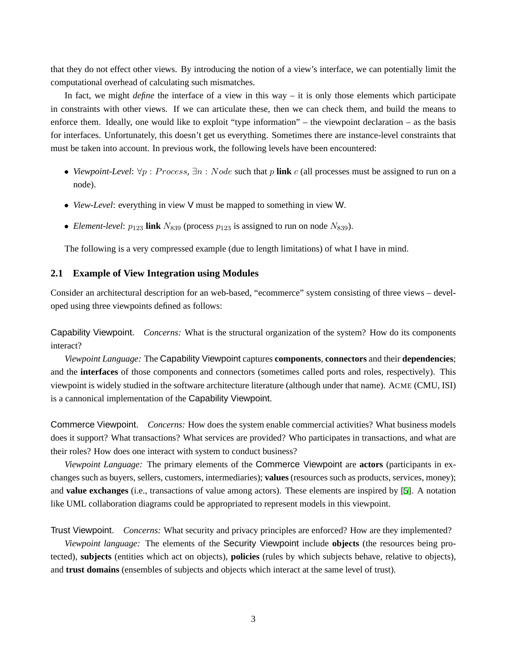that they do not effect other views. By introducing the notion of a view's interface, we can potentially limit the computational overhead of calculating such mismatches.

In fact, we might *define* the interface of a view in this way – it is only those elements which participate in constraints with other views. If we can articulate these, then we can check them, and build the means to enforce them. Ideally, one would like to exploit "type information" – the viewpoint declaration – as the basis for interfaces. Unfortunately, this doesn't get us everything. Sometimes there are instance-level constraints that must be taken into account. In previous work, the following levels have been encountered:

- *Viewpoint-Level:*  $\forall p : Process, \exists n : Node$  such that p link c (all processes must be assigned to run on a node).
- *View-Level*: everything in view V must be mapped to something in view W.
- *Element-level*:  $p_{123}$  link  $N_{839}$  (process  $p_{123}$  is assigned to run on node  $N_{839}$ ).

The following is a very compressed example (due to length limitations) of what I have in mind.

#### **2.1 Example of View Integration using Modules**

Consider an architectural description for an web-based, "ecommerce" system consisting of three views – developed using three viewpoints defined as follows:

Capability Viewpoint. *Concerns:* What is the structural organization of the system? How do its components interact?

*Viewpoint Language:* The Capability Viewpoint captures **components**, **connectors** and their **dependencies**; and the **interfaces** of those components and connectors (sometimes called ports and roles, respectively). This viewpoint is widely studied in the software architecture literature (although under that name). ACME (CMU, ISI) is a cannonical implementation of the Capability Viewpoint.

Commerce Viewpoint. *Concerns:* How does the system enable commercial activities? What business models does it support? What transactions? What services are provided? Who participates in transactions, and what are their roles? How does one interact with system to conduct business?

*Viewpoint Language:* The primary elements of the Commerce Viewpoint are **actors** (participants in exchanges such as buyers, sellers, customers, intermediaries); **values** (resources such as products, services, money); and **value exchanges** (i.e., transactions of value among actors). These elements are inspired by [[5](#page-4-7)]. A notation like UML collaboration diagrams could be appropriated to represent models in this viewpoint.

Trust Viewpoint. *Concerns:* What security and privacy principles are enforced? How are they implemented?

*Viewpoint language:* The elements of the Security Viewpoint include **objects** (the resources being protected), **subjects** (entities which act on objects), **policies** (rules by which subjects behave, relative to objects), and **trust domains** (ensembles of subjects and objects which interact at the same level of trust).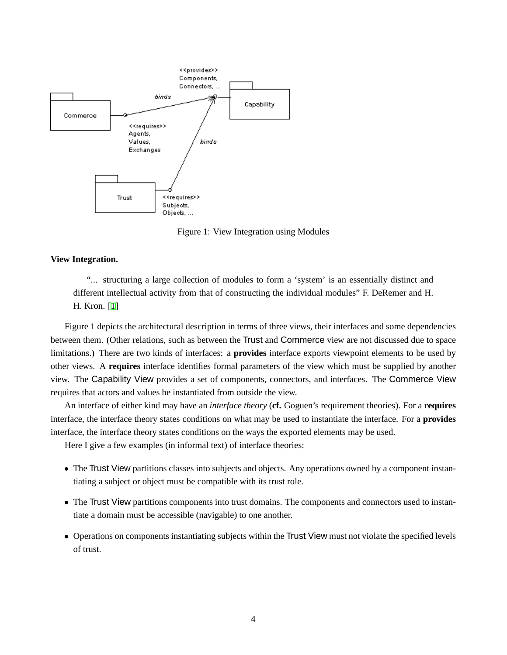

Figure 1: View Integration using Modules

#### **View Integration.**

"... structuring a large collection of modules to form a 'system' is an essentially distinct and different intellectual activity from that of constructing the individual modules" F. DeRemer and H. H. Kron. [[1](#page-4-8)]

Figure 1 depicts the architectural description in terms of three views, their interfaces and some dependencies between them. (Other relations, such as between the Trust and Commerce view are not discussed due to space limitations.) There are two kinds of interfaces: a **provides** interface exports viewpoint elements to be used by other views. A **requires** interface identifies formal parameters of the view which must be supplied by another view. The Capability View provides a set of components, connectors, and interfaces. The Commerce View requires that actors and values be instantiated from outside the view.

An interface of either kind may have an *interface theory* (**cf.** Goguen's requirement theories). For a **requires** interface, the interface theory states conditions on what may be used to instantiate the interface. For a **provides** interface, the interface theory states conditions on the ways the exported elements may be used.

Here I give a few examples (in informal text) of interface theories:

- The Trust View partitions classes into subjects and objects. Any operations owned by a component instantiating a subject or object must be compatible with its trust role.
- The Trust View partitions components into trust domains. The components and connectors used to instantiate a domain must be accessible (navigable) to one another.
- Operations on components instantiating subjects within the Trust View must not violate the specified levels of trust.